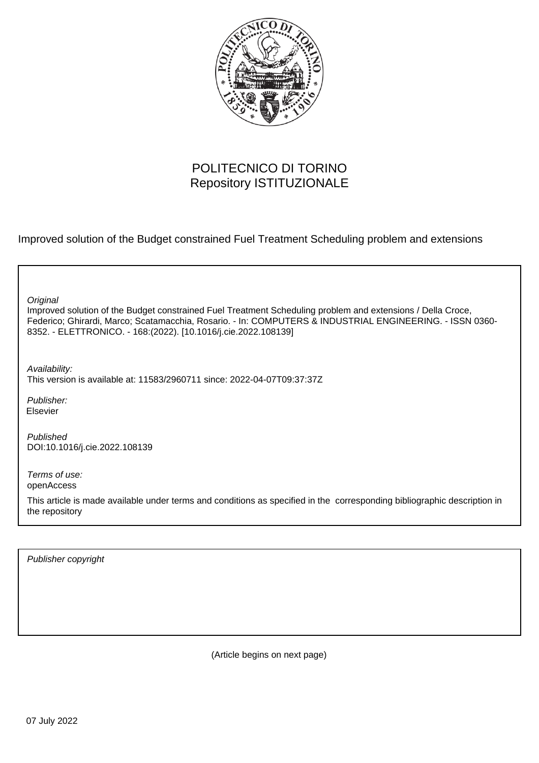

# POLITECNICO DI TORINO Repository ISTITUZIONALE

Improved solution of the Budget constrained Fuel Treatment Scheduling problem and extensions

| Original<br>Improved solution of the Budget constrained Fuel Treatment Scheduling problem and extensions / Della Croce,<br>Federico; Ghirardi, Marco; Scatamacchia, Rosario. - In: COMPUTERS & INDUSTRIAL ENGINEERING. - ISSN 0360-<br>8352. - ELETTRONICO. - 168:(2022). [10.1016/j.cie.2022.108139] |
|-------------------------------------------------------------------------------------------------------------------------------------------------------------------------------------------------------------------------------------------------------------------------------------------------------|
| Availability:<br>This version is available at: 11583/2960711 since: 2022-04-07T09:37:37Z                                                                                                                                                                                                              |
| Publisher:<br>Elsevier                                                                                                                                                                                                                                                                                |
| Published<br>DOI:10.1016/j.cie.2022.108139                                                                                                                                                                                                                                                            |
| Terms of use:<br>openAccess                                                                                                                                                                                                                                                                           |
| This article is made available under terms and conditions as specified in the corresponding bibliographic description in<br>the repository                                                                                                                                                            |
|                                                                                                                                                                                                                                                                                                       |

Publisher copyright

(Article begins on next page)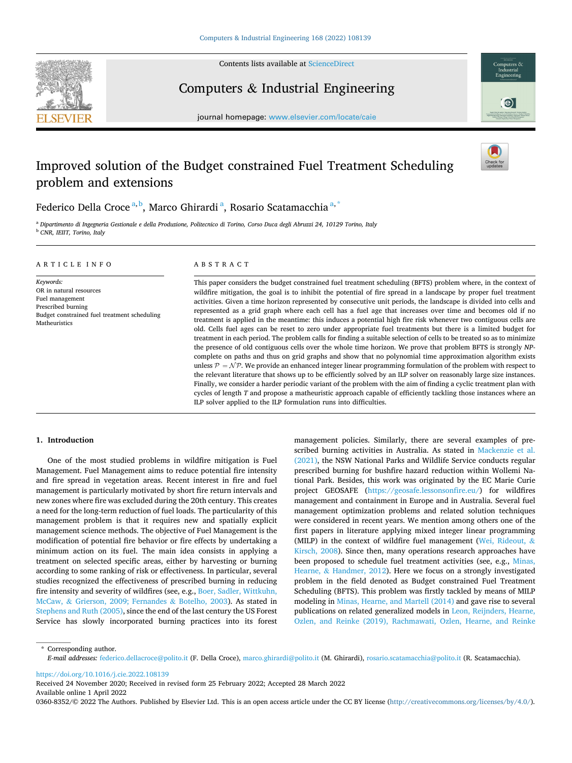

Contents lists available at [ScienceDirect](www.sciencedirect.com/science/journal/03608352)

Computers & Industrial Engineering



journal homepage: [www.elsevier.com/locate/caie](https://www.elsevier.com/locate/caie) 

# Improved solution of the Budget constrained Fuel Treatment Scheduling problem and extensions



Federico Della Croce<sup>a, b</sup>, Marco Ghirardi<sup>a</sup>, Rosario Scatamacchia<sup>a, \*</sup>

<sup>a</sup> *Dipartimento di Ingegneria Gestionale e della Produzione, Politecnico di Torino, Corso Duca degli Abruzzi 24, 10129 Torino, Italy* <sup>b</sup> *CNR, IEIIT, Torino, Italy* 

| ARTICLE INFO                                                                                                                                   | ABSTRACT                                                                                                                                                                                                                                                                                                                                                                                                                                                                                                                                                                                                                                                                                                                                                                                                                                                                                                                                                                                                                                                                                                                                                                                                                                                                                                                                                                                                                               |
|------------------------------------------------------------------------------------------------------------------------------------------------|----------------------------------------------------------------------------------------------------------------------------------------------------------------------------------------------------------------------------------------------------------------------------------------------------------------------------------------------------------------------------------------------------------------------------------------------------------------------------------------------------------------------------------------------------------------------------------------------------------------------------------------------------------------------------------------------------------------------------------------------------------------------------------------------------------------------------------------------------------------------------------------------------------------------------------------------------------------------------------------------------------------------------------------------------------------------------------------------------------------------------------------------------------------------------------------------------------------------------------------------------------------------------------------------------------------------------------------------------------------------------------------------------------------------------------------|
| Keywords:<br>OR in natural resources<br>Fuel management<br>Prescribed burning<br>Budget constrained fuel treatment scheduling<br>Matheuristics | This paper considers the budget constrained fuel treatment scheduling (BFTS) problem where, in the context of<br>wildfire mitigation, the goal is to inhibit the potential of fire spread in a landscape by proper fuel treatment<br>activities. Given a time horizon represented by consecutive unit periods, the landscape is divided into cells and<br>represented as a grid graph where each cell has a fuel age that increases over time and becomes old if no<br>treatment is applied in the meantime: this induces a potential high fire risk whenever two contiguous cells are<br>old. Cells fuel ages can be reset to zero under appropriate fuel treatments but there is a limited budget for<br>treatment in each period. The problem calls for finding a suitable selection of cells to be treated so as to minimize<br>the presence of old contiguous cells over the whole time horizon. We prove that problem BFTS is strongly NP-<br>complete on paths and thus on grid graphs and show that no polynomial time approximation algorithm exists<br>unless $P = \mathcal{NP}$ . We provide an enhanced integer linear programming formulation of the problem with respect to<br>the relevant literature that shows up to be efficiently solved by an ILP solver on reasonably large size instances.<br>Finally, we consider a harder periodic variant of the problem with the aim of finding a cyclic treatment plan with |

ILP solver applied to the ILP formulation runs into difficulties.

# **1. Introduction**

One of the most studied problems in wildfire mitigation is Fuel Management. Fuel Management aims to reduce potential fire intensity and fire spread in vegetation areas. Recent interest in fire and fuel management is particularly motivated by short fire return intervals and new zones where fire was excluded during the 20th century. This creates a need for the long-term reduction of fuel loads. The particularity of this management problem is that it requires new and spatially explicit management science methods. The objective of Fuel Management is the modification of potential fire behavior or fire effects by undertaking a minimum action on its fuel. The main idea consists in applying a treatment on selected specific areas, either by harvesting or burning according to some ranking of risk or effectiveness. In particular, several studies recognized the effectiveness of prescribed burning in reducing fire intensity and severity of wildfires (see, e.g., Boer, Sadler, Wittkuhn, McCaw, & Grierson, 2009; Fernandes & Botelho, 2003). As stated in Stephens and Ruth (2005), since the end of the last century the US Forest Service has slowly incorporated burning practices into its forest management policies. Similarly, there are several examples of prescribed burning activities in Australia. As stated in Mackenzie et al. (2021), the NSW National Parks and Wildlife Service conducts regular prescribed burning for bushfire hazard reduction within Wollemi National Park. Besides, this work was originated by the EC Marie Curie project GEOSAFE [\(https://geosafe.lessonsonfire.eu/](https://geosafe.lessonsonfire.eu/)) for wildfires management and containment in Europe and in Australia. Several fuel management optimization problems and related solution techniques were considered in recent years. We mention among others one of the first papers in literature applying mixed integer linear programming (MILP) in the context of wildfire fuel management (Wei, Rideout,  $\&$ Kirsch, 2008). Since then, many operations research approaches have been proposed to schedule fuel treatment activities (see, e.g., Minas, Hearne, & Handmer, 2012). Here we focus on a strongly investigated problem in the field denoted as Budget constrained Fuel Treatment Scheduling (BFTS). This problem was firstly tackled by means of MILP modeling in Minas, Hearne, and Martell (2014) and gave rise to several publications on related generalized models in Leon, Reijnders, Hearne, Ozlen, and Reinke (2019), Rachmawati, Ozlen, Hearne, and Reinke

cycles of length *T* and propose a matheuristic approach capable of efficiently tackling those instances where an

\* Corresponding author. *E-mail addresses:* [federico.dellacroce@polito.it](mailto:federico.dellacroce@polito.it) (F. Della Croce), [marco.ghirardi@polito.it](mailto:marco.ghirardi@polito.it) (M. Ghirardi), [rosario.scatamacchia@polito.it](mailto:rosario.scatamacchia@polito.it) (R. Scatamacchia).

<https://doi.org/10.1016/j.cie.2022.108139>

Available online 1 April 2022 0360-8352/© 2022 The Authors. Published by Elsevier Ltd. This is an open access article under the CC BY license [\(http://creativecommons.org/licenses/by/4.0/\)](http://creativecommons.org/licenses/by/4.0/). Received 24 November 2020; Received in revised form 25 February 2022; Accepted 28 March 2022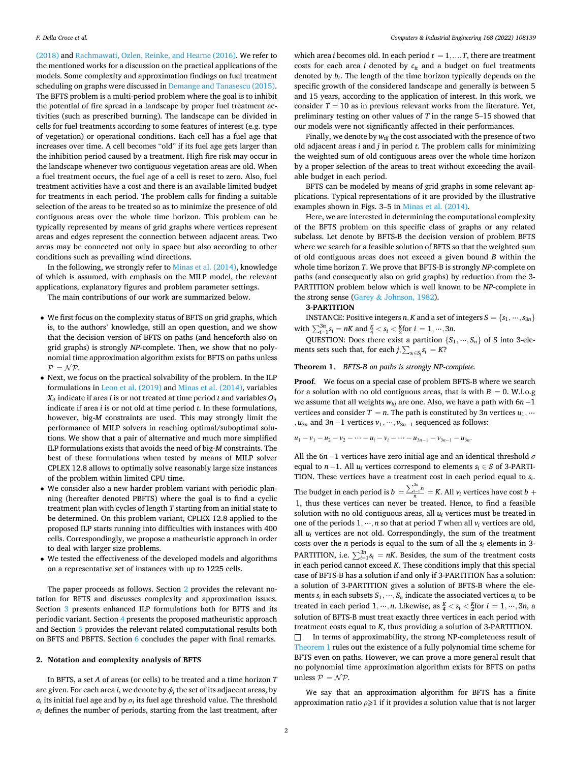(2018) and Rachmawati, Ozlen, Reinke, and Hearne (2016). We refer to the mentioned works for a discussion on the practical applications of the models. Some complexity and approximation findings on fuel treatment scheduling on graphs were discussed in Demange and Tanasescu (2015). The BFTS problem is a multi-period problem where the goal is to inhibit the potential of fire spread in a landscape by proper fuel treatment activities (such as prescribed burning). The landscape can be divided in cells for fuel treatments according to some features of interest (e.g. type of vegetation) or operational conditions. Each cell has a fuel age that increases over time. A cell becomes "old" if its fuel age gets larger than the inhibition period caused by a treatment. High fire risk may occur in the landscape whenever two contiguous vegetation areas are old. When a fuel treatment occurs, the fuel age of a cell is reset to zero. Also, fuel treatment activities have a cost and there is an available limited budget for treatments in each period. The problem calls for finding a suitable selection of the areas to be treated so as to minimize the presence of old contiguous areas over the whole time horizon. This problem can be typically represented by means of grid graphs where vertices represent areas and edges represent the connection between adjacent areas. Two areas may be connected not only in space but also according to other conditions such as prevailing wind directions.

In the following, we strongly refer to Minas et al. (2014), knowledge of which is assumed, with emphasis on the MILP model, the relevant applications, explanatory figures and problem parameter settings.

The main contributions of our work are summarized below.

- We first focus on the complexity status of BFTS on grid graphs, which is, to the authors' knowledge, still an open question, and we show that the decision version of BFTS on paths (and henceforth also on grid graphs) is strongly *NP*-complete. Then, we show that no polynomial time approximation algorithm exists for BFTS on paths unless  $P = NP$ .
- Next, we focus on the practical solvability of the problem. In the ILP formulations in Leon et al. (2019) and Minas et al. (2014), variables  $X_{it}$  indicate if area *i* is or not treated at time period *t* and variables  $O_{it}$ indicate if area *i* is or not old at time period *t*. In these formulations, however, big-*M* constraints are used. This may strongly limit the performance of MILP solvers in reaching optimal/suboptimal solutions. We show that a pair of alternative and much more simplified ILP formulations exists that avoids the need of big-*M* constraints. The best of these formulations when tested by means of MILP solver CPLEX 12.8 allows to optimally solve reasonably large size instances of the problem within limited CPU time.
- We consider also a new harder problem variant with periodic planning (hereafter denoted PBFTS) where the goal is to find a cyclic treatment plan with cycles of length *T* starting from an initial state to be determined. On this problem variant, CPLEX 12.8 applied to the proposed ILP starts running into difficulties with instances with 400 cells. Correspondingly, we propose a matheuristic approach in order to deal with larger size problems.
- We tested the effectiveness of the developed models and algorithms on a representative set of instances with up to 1225 cells.

The paper proceeds as follows. Section 2 provides the relevant notation for BFTS and discusses complexity and approximation issues. Section 3 presents enhanced ILP formulations both for BFTS and its periodic variant. Section 4 presents the proposed matheuristic approach and Section 5 provides the relevant related computational results both on BFTS and PBFTS. Section 6 concludes the paper with final remarks.

# **2. Notation and complexity analysis of BFTS**

In BFTS, a set *A* of areas (or cells) to be treated and a time horizon *T*  are given. For each area *i*, we denote by  $\phi_i$  the set of its adjacent areas, by  $a_i$  its initial fuel age and by  $\sigma_i$  its fuel age threshold value. The threshold  $\sigma$ <sup>*i*</sup> defines the number of periods, starting from the last treatment, after

which area *i* becomes old. In each period  $t = 1, \ldots, T$ , there are treatment costs for each area  $i$  denoted by  $c_{it}$  and a budget on fuel treatments denoted by  $b_t$ . The length of the time horizon typically depends on the specific growth of the considered landscape and generally is between 5 and 15 years, according to the application of interest. In this work, we consider  $T = 10$  as in previous relevant works from the literature. Yet, preliminary testing on other values of *T* in the range 5–15 showed that our models were not significantly affected in their performances.

Finally, we denote by  $w_{ti}$  the cost associated with the presence of two old adjacent areas *i* and *j* in period *t*. The problem calls for minimizing the weighted sum of old contiguous areas over the whole time horizon by a proper selection of the areas to treat without exceeding the available budget in each period.

BFTS can be modeled by means of grid graphs in some relevant applications. Typical representations of it are provided by the illustrative examples shown in Figs. 3–5 in Minas et al. (2014).

Here, we are interested in determining the computational complexity of the BFTS problem on this specific class of graphs or any related subclass. Let denote by BFTS-B the decision version of problem BFTS where we search for a feasible solution of BFTS so that the weighted sum of old contiguous areas does not exceed a given bound *B* within the whole time horizon *T*. We prove that BFTS-B is strongly *NP*-complete on paths (and consequently also on grid graphs) by reduction from the 3- PARTITION problem below which is well known to be *NP*-complete in the strong sense (Garey & Johnson, 1982).

# **3-PARTITION**

**INSTANCE:** Positive integers *n, K* and a set of integers  $S = \{s_1, \dots, s_{3n}\}\$ with  $\sum_{i=1}^{3n} s_i = nK$  and  $\frac{K}{4} < s_i < \frac{K}{2}$  for  $i = 1, ..., 3n$ .

QUESTION: Does there exist a partition  $\{S_1, \dots, S_n\}$  of S into 3-elements sets such that, for each *j*,  $\sum_{s_i \in S_j} s_i = K$ ?

# **Theorem 1**. *BFTS-B on paths is strongly NP-complete.*

**Proof**. We focus on a special case of problem BFTS-B where we search for a solution with no old contiguous areas, that is with  $B = 0$ . W.l.o.g we assume that all weights  $w_{tij}$  are one. Also, we have a path with 6*n* −1 vertices and consider  $T = n$ . The path is constituted by 3*n* vertices  $u_1, \dots$ *,*  $u_{3n}$  and  $3n-1$  vertices  $v_1, \dots, v_{3n-1}$  sequenced as follows:

 $u_1 - v_1 - u_2 - v_2 - \cdots - u_i - v_i - \cdots - u_{3n-1} - v_{3n-1} - u_{3n}$ 

All the  $6n-1$  vertices have zero initial age and an identical threshold  $\sigma$ equal to  $n-1$ . All  $u_i$  vertices correspond to elements  $s_i \in S$  of 3-PARTI-TION. These vertices have a treatment cost in each period equal to *si*.

The budget in each period is  $b =$  $\frac{\sum_{i=1}^{3n} s_i}{n} = K$ . All *v<sub>i</sub>* vertices have cost *b* + 1, thus these vertices can never be treated. Hence, to find a feasible solution with no old contiguous areas, all *ui* vertices must be treated in one of the periods  $1, \dots, n$  so that at period *T* when all  $v_i$  vertices are old, all  $u_i$  vertices are not old. Correspondingly, the sum of the treatment costs over the *n* periods is equal to the sum of all the *si* elements in 3- PARTITION, i.e.  $\sum_{i=1}^{3n} s_i = nK$ . Besides, the sum of the treatment costs in each period cannot exceed *K*. These conditions imply that this special case of BFTS-B has a solution if and only if 3-PARTITION has a solution: a solution of 3-PARTITION gives a solution of BFTS-B where the elements  $s_i$  in each subsets  $S_1, \dots, S_n$  indicate the associated vertices  $u_i$  to be treated in each period  $1, \dots, n$ . Likewise, as  $\frac{K}{4} < s_i < \frac{K}{2}$ for  $i = 1, \dots, 3n$ , a solution of BFTS-B must treat exactly three vertices in each period with treatment costs equal to *K*, thus providing a solution of 3-PARTITION. □ In terms of approximability, the strong NP-completeness result of

Theorem 1 rules out the existence of a fully polynomial time scheme for BFTS even on paths. However, we can prove a more general result that no polynomial time approximation algorithm exists for BFTS on paths unless  $P = \mathcal{NP}$ .

We say that an approximation algorithm for BFTS has a finite approximation ratio *ρ*⩾1 if it provides a solution value that is not larger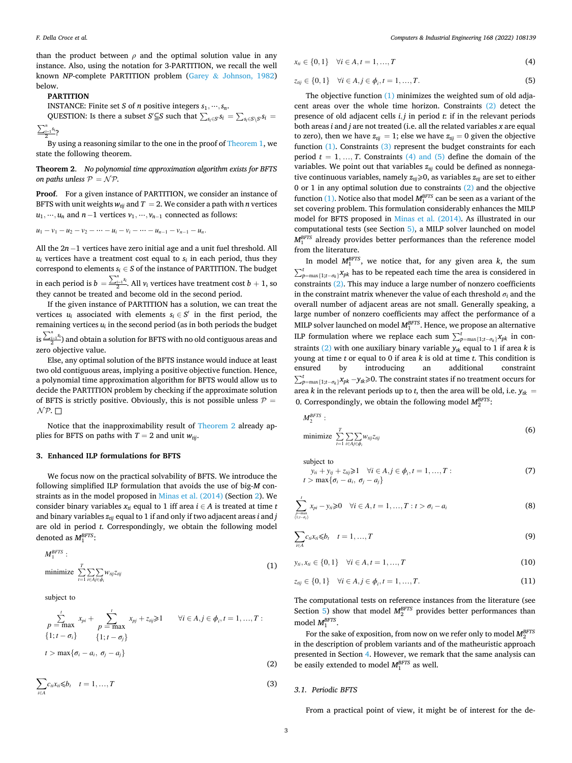than the product between  $\rho$  and the optimal solution value in any instance. Also, using the notation for 3-PARTITION, we recall the well known *NP*-complete PARTITION problem (Garey & Johnson, 1982) below.

# **PARTITION**

INSTANCE: Finite set *S* of *n* positive integers  $s_1, \dots, s_n$ .

QUESTION: Is there a subset *S*′ $\subseteq$ *S* such that  $\sum_{s_i \in S} s_i = \sum_{s_i \in S \setminus S} s_i = \sum_{s_i \in S} s_i$ 

 $\frac{i-1}{2}^{s_i}$ ?

By using a reasoning similar to the one in the proof of Theorem 1, we state the following theorem.

**Theorem 2**. *No polynomial time approximation algorithm exists for BFTS on paths unless*  $P = NP$ *.* 

**Proof**. For a given instance of PARTITION, we consider an instance of BFTS with unit weights  $w_{tij}$  and  $T = 2$ . We consider a path with *n* vertices  $u_1, \dots, u_n$  and  $n-1$  vertices  $v_1, \dots, v_{n-1}$  connected as follows:

 $u_1 - v_1 - u_2 - v_2 - \cdots - u_i - v_i - \cdots - u_{n-1} - v_{n-1} - u_n$ 

All the 2*n* −1 vertices have zero initial age and a unit fuel threshold. All  $u_i$  vertices have a treatment cost equal to  $s_i$  in each period, thus they correspond to elements  $s_i \in S$  of the instance of PARTITION. The budget in each period is  $b\,=\,$  $\sum_{i=1}^{n} s_i$  All  $v_i$  vertices have treatment cost  $b + 1$ , so

they cannot be treated and become old in the second period. If the given instance of PARTITION has a solution, we can treat the

vertices  $u_i$  associated with elements  $s_i \in S'$  in the first period, the remaining vertices *ui* in the second period (as in both periods the budget ∑*<sup>n</sup>* is  $\frac{\sum_{i=1}^{n}s_i}{2}$  and obtain a solution for BFTS with no old contiguous areas and

zero objective value.

Else, any optimal solution of the BFTS instance would induce at least two old contiguous areas, implying a positive objective function. Hence, a polynomial time approximation algorithm for BFTS would allow us to decide the PARTITION problem by checking if the approximate solution of BFTS is strictly positive. Obviously, this is not possible unless  $P =$  $N$ P.  $\Box$ 

Notice that the inapproximability result of Theorem 2 already applies for BFTS on paths with  $T = 2$  and unit  $w_{\text{tri}}$ .

# **3. Enhanced ILP formulations for BFTS**

We focus now on the practical solvability of BFTS. We introduce the following simplified ILP formulation that avoids the use of big-*M* constraints as in the model proposed in Minas et al. (2014) (Section 2). We consider binary variables  $x_{ti}$  equal to 1 iff area  $i \in A$  is treated at time *t* and binary variables  $z_{tii}$  equal to 1 if and only if two adjacent areas *i* and *j* are old in period *t*. Correspondingly, we obtain the following model denoted as  $M_1^{BFTS}$ :

$$
M_1^{BFTS}:
$$
  
minimize 
$$
\sum_{i=1}^{T} \sum_{i \in A_j \in \phi_i} w_{ij} z_{ij}
$$
 (1)

subject to

$$
\sum_{p=\max}^{t} x_{pi} + \sum_{p=\max}^{t} x_{pj} + z_{ij} \ge 1 \qquad \forall i \in A, j \in \phi_i, t = 1, ..., T:
$$
\n
$$
\{1; t - \sigma_i\} \qquad \{1; t - \sigma_j\}
$$
\n
$$
t > \max\{\sigma_i - a_i, \sigma_j - a_j\}
$$
\n
$$
(2)
$$

$$
\sum_{i\in A} c_{ti}x_{ti}\leq b_t \quad t=1,...,T
$$
\n(3)

$$
x_{ti} \in \{0, 1\} \quad \forall i \in A, t = 1, ..., T \tag{4}
$$

$$
z_{tij} \in \{0, 1\} \quad \forall i \in A, j \in \phi_i, t = 1, ..., T.
$$
 (5)

The objective function (1) minimizes the weighted sum of old adjacent areas over the whole time horizon. Constraints (2) detect the presence of old adjacent cells *i, j* in period *t*: if in the relevant periods both areas *i* and *j* are not treated (i.e. all the related variables *x* are equal to zero), then we have  $z_{tij} = 1$ ; else we have  $z_{tij} = 0$  given the objective function (1). Constraints (3) represent the budget constraints for each period  $t = 1, ..., T$ . Constraints (4) and (5) define the domain of the variables. We point out that variables  $z_{tij}$  could be defined as nonnegative continuous variables, namely  $z_{\text{tri}} \geq 0$ , as variables  $z_{\text{tri}}$  are set to either 0 or 1 in any optimal solution due to constraints (2) and the objective function  $(1)$ . Notice also that model  $M_1^{BFTS}$  can be seen as a variant of the set covering problem. This formulation considerably enhances the MILP model for BFTS proposed in Minas et al. (2014). As illustrated in our computational tests (see Section 5), a MILP solver launched on model  $M_1^{BFTS}$  already provides better performances than the reference model from the literature.

In model  $M_{B}^{BFTS}$ , we notice that, for any given area *k*, the sum  $\sum^{t}$  $\sum_{p=\max\{1;t-\sigma_k\}}^{t} x_{pk}$  has to be repeated each time the area is considered in constraints (2). This may induce a large number of nonzero coefficients in the constraint matrix whenever the value of each threshold  $\sigma_i$  and the overall number of adjacent areas are not small. Generally speaking, a large number of nonzero coefficients may affect the performance of a MILP solver launched on model  $M_1^{BFTS}$ . Hence, we propose an alternative ILP formulation where we replace each sum  $\sum_{p=\max\{1; t-\sigma_k\}}^{t} x_{pk}$  in constraints (2) with one auxiliary binary variable  $y_{ik}$  equal to 1 if area *k* is young at time *t* or equal to 0 if area *k* is old at time *t*. This condition is ensured by introducing an additional constraint  $\sum_{p=\max\{1;t-\sigma_k\}}^t x_{pk} - y_{tk} \ge 0$ . The constraint states if no treatment occurs for area *k* in the relevant periods up to *t*, then the area will be old, i.e.  $y_{tk}$  = 0. Correspondingly, we obtain the following model  $M_2^{BFTS}$ :

$$
M_2^{BFTS}:
$$
  
minimize 
$$
\sum_{t=1}^{T} \sum_{i \in A_j \in \phi_i} w_{tij} z_{tij}
$$
 (6)

subject to

$$
y_i + y_{ij} + z_{ij} \ge 1 \quad \forall i \in A, j \in \phi_i, t = 1, ..., T:
$$
  
\n
$$
t > \max{\{\sigma_i - a_i, \sigma_j - a_j\}}
$$
\n(7)

$$
\sum_{\substack{p=\max\\(1:i-a_i)}}^t x_{pi} - y_{ni} \geq 0 \quad \forall i \in A, t = 1, ..., T : t > \sigma_i - a_i
$$
\n
$$
(8)
$$

$$
\sum_{i\in A} c_{ii}x_{ii} \leq b_t \quad t = 1,...,T
$$
\n(9)

$$
y_{ii}, x_{ii} \in \{0, 1\} \quad \forall i \in A, t = 1, ..., T
$$
 (10)

$$
z_{tij} \in \{0, 1\} \quad \forall i \in A, j \in \phi_i, t = 1, ..., T.
$$
\n(11)

The computational tests on reference instances from the literature (see Section 5) show that model  $M_2^{BFTS}$  provides better performances than model  $M_1^{BFTS}$ .

For the sake of exposition, from now on we refer only to model  $M_2^{BFTS}$ in the description of problem variants and of the matheuristic approach presented in Section 4. However, we remark that the same analysis can be easily extended to model  $M_1^{BFTS}$  as well.

#### *3.1. Periodic BFTS*

From a practical point of view, it might be of interest for the de-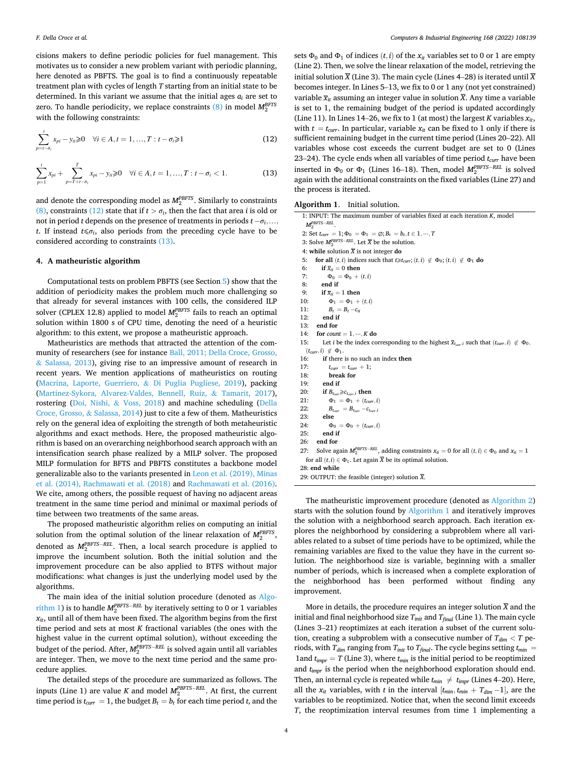cisions makers to define periodic policies for fuel management. This motivates us to consider a new problem variant with periodic planning, here denoted as PBFTS. The goal is to find a continuously repeatable treatment plan with cycles of length *T* starting from an initial state to be determined. In this variant we assume that the initial ages  $a_i$  are set to zero. To handle periodicity, we replace constraints (8) in model *MBFTS* 2 with the following constraints:

$$
\sum_{p=t-\sigma_i}^{t} x_{pi} - y_{ni} \ge 0 \quad \forall i \in A, t = 1, ..., T : t - \sigma_i \ge 1
$$
 (12)

$$
\sum_{p=1}^{t} x_{pi} + \sum_{p=T+t-\sigma_i}^{T} x_{pi} - y_{ni} \ge 0 \quad \forall i \in A, t = 1, ..., T: t - \sigma_i < 1.
$$
 (13)

and denote the corresponding model as  $M_2^{PBFTS}$ . Similarly to constraints (8), constraints (12) state that if  $t > \sigma_i$ , then the fact that area *i* is old or not in period *t* depends on the presence of treatments in periods  $t - \sigma_i, \ldots,$ *t*. If instead  $t \leq \sigma_i$ , also periods from the preceding cycle have to be considered according to constraints (13).

## **4. A matheuristic algorithm**

Computational tests on problem PBFTS (see Section 5) show that the addition of periodicity makes the problem much more challenging so that already for several instances with 100 cells, the considered ILP solver (CPLEX 12.8) applied to model *MPBFTS* 2 fails to reach an optimal solution within 1800 s of CPU time, denoting the need of a heuristic algorithm: to this extent, we propose a matheuristic approach.

Matheuristics are methods that attracted the attention of the community of researchers (see for instance Ball, 2011; Della Croce, Grosso, & Salassa, 2013), giving rise to an impressive amount of research in recent years. We mention applications of matheuristics on routing (Macrina, Laporte, Guerriero, & Di Puglia Pugliese, 2019), packing (Martinez-Sykora, Alvarez-Valdes, Bennell, Ruiz, & Tamarit, 2017), rostering (Doi, Nishi, & Voss, 2018) and machine scheduling (Della Croce, Grosso, & Salassa, 2014) just to cite a few of them. Matheuristics rely on the general idea of exploiting the strength of both metaheuristic algorithms and exact methods. Here, the proposed matheuristic algorithm is based on an overarching neighborhood search approach with an intensification search phase realized by a MILP solver. The proposed MILP formulation for BFTS and PBFTS constitutes a backbone model generalizable also to the variants presented in Leon et al. (2019), Minas et al. (2014), Rachmawati et al. (2018) and Rachmawati et al. (2016). We cite, among others, the possible request of having no adjacent areas treatment in the same time period and minimal or maximal periods of time between two treatments of the same areas.

The proposed matheuristic algorithm relies on computing an initial solution from the optimal solution of the linear relaxation of  $M_2^{PBFTS}$ , denoted as  $M_2^{PBFTS-REL}$ . Then, a local search procedure is applied to improve the incumbent solution. Both the initial solution and the improvement procedure can be also applied to BTFS without major modifications: what changes is just the underlying model used by the algorithms.

The main idea of the initial solution procedure (denoted as Algorithm 1) is to handle  $M_2^{PBFTS-REL}$  by iteratively setting to 0 or 1 variables  $x_{it}$ , until all of them have been fixed. The algorithm begins from the first time period and sets at most *K* fractional variables (the ones with the highest value in the current optimal solution), without exceeding the budget of the period. After,  $M_2^{PBFTS-REL}$  is solved again until all variables are integer. Then, we move to the next time period and the same procedure applies.

The detailed steps of the procedure are summarized as follows. The inputs (Line 1) are value *K* and model  $M_2^{PBFTS-REL}$ . At first, the current time period is  $t_{curr} = 1$ , the budget  $B_t = b_t$  for each time period *t*, and the sets  $\Phi_0$  and  $\Phi_1$  of indices  $(t, i)$  of the  $x_i$  variables set to 0 or 1 are empty (Line 2). Then, we solve the linear relaxation of the model, retrieving the initial solution  $\overline{X}$  (Line 3). The main cycle (Lines 4–28) is iterated until  $\overline{X}$ becomes integer. In Lines 5–13, we fix to 0 or 1 any (not yet constrained) variable  $\bar{x}_t$  assuming an integer value in solution  $\bar{X}$ . Any time a variable is set to 1, the remaining budget of the period is updated accordingly (Line 11). In Lines 14–26, we fix to 1 (at most) the largest  $K$  variables  $x_{it}$ , with  $t = t_{curr}$ . In particular, variable  $x_{it}$  can be fixed to 1 only if there is sufficient remaining budget in the current time period (Lines 20–22). All variables whose cost exceeds the current budget are set to 0 (Lines 23–24). The cycle ends when all variables of time period  $t_{curr}$  have been inserted in  $Φ$ <sub>0</sub> or  $Φ$ <sub>1</sub> (Lines 16–18). Then, model  $M_2^{PBFTS-REL}$  is solved again with the additional constraints on the fixed variables (Line 27) and the process is iterated.

|  | Algorithm 1. |  |  | Initial solution. |
|--|--------------|--|--|-------------------|
|--|--------------|--|--|-------------------|

|     | 1: INPUT: The maximum number of variables fixed at each iteration $K$ , model                                              |
|-----|----------------------------------------------------------------------------------------------------------------------------|
|     | $M_2^{PBFTS-REL}$ .                                                                                                        |
|     | 2: Set $t_{curr} = 1$ ; $\Phi_0 = \Phi_1 = \emptyset$ ; $B_t = b_t, t \in 1, , T$                                          |
|     | 3: Solve $M_2^{PBFTS-REL}$ . Let $\overline{X}$ be the solution.                                                           |
|     | 4: while solution $\overline{X}$ is not integer do                                                                         |
| 5:  | for all $(t, i)$ indices such that $t \geq t_{curr}$ ; $(t, i) \notin \Phi_0$ ; $(t, i) \notin \Phi_1$ do                  |
| 6:  | if $\overline{x}_{ti} = 0$ then                                                                                            |
| 7:  | $\Phi_0 = \Phi_0 + (t, i)$                                                                                                 |
| 8:  | end if                                                                                                                     |
| 9:  | if $\bar{x}_{ti} = 1$ then                                                                                                 |
| 10: | $\Phi_1 = \Phi_1 + (t, i)$                                                                                                 |
| 11: | $B_t = B_t - c_{ti}$                                                                                                       |
| 12: | end if                                                                                                                     |
| 13: | end for                                                                                                                    |
| 14: | for <i>count</i> = $1, \dots, K$ do                                                                                        |
| 15: | Let <i>i</i> be the index corresponding to the highest $\overline{x}_{t_{corr}}$ such that $(t_{curr}, i) \notin \Phi_0$ , |
|     | $(t_{curr}, i) \notin \Phi_1$ .                                                                                            |
| 16: | <b>if</b> there is no such an index <b>then</b>                                                                            |
| 17: | $t_{curr} = t_{curr} + 1;$                                                                                                 |
| 18: | break for                                                                                                                  |
| 19: | end if                                                                                                                     |
| 20: | if $B_{t_{corr}} \geq c_{t_{corr},i}$ then                                                                                 |
| 21: | $\Phi_1 = \Phi_1 + (t_{curr}, i)$                                                                                          |
| 22: | $B_{t_{corr}} = B_{t_{corr}} - c_{t_{corr},i}$                                                                             |
| 23: | else                                                                                                                       |
| 24: | $\Phi_0 = \Phi_0 + (t_{curr}, i)$                                                                                          |
| 25: | end if                                                                                                                     |
| 26: | end for                                                                                                                    |
| 27: | Solve again $M_2^{PBFTS-REL}$ , adding constraints $x_{ti} = 0$ for all $(t, i) \in \Phi_0$ and $x_{ti} = 1$               |
|     | for all $(t, i) \in \Phi_1$ . Let again $\overline{X}$ be its optimal solution.                                            |
|     | 28: end while                                                                                                              |
|     | 29: OUTPUT: the feasible (integer) solution X.                                                                             |
|     |                                                                                                                            |

The matheuristic improvement procedure (denoted as Algorithm 2) starts with the solution found by Algorithm 1 and iteratively improves the solution with a neighborhood search approach. Each iteration explores the neighborhood by considering a subproblem where all variables related to a subset of time periods have to be optimized, while the remaining variables are fixed to the value they have in the current solution. The neighborhood size is variable, beginning with a smaller number of periods, which is increased when a complete exploration of the neighborhood has been performed without finding any improvement.

More in details, the procedure requires an integer solution  $\overline{X}$  and the initial and final neighborhood size *T<sub>init</sub>* and *T<sub>final</sub>* (Line 1). The main cycle (Lines 3–21) reoptimizes at each iteration a subset of the current solution, creating a subproblem with a consecutive number of  $T_{dim} < T$  periods, with  $T_{dim}$  ranging from  $T_{init}$  to  $T_{final}$ . The cycle begins setting  $t_{min}$  = 1 and  $t_{\text{impr}} = T$  (Line 3), where  $t_{\text{min}}$  is the initial period to be reoptimized and *t<sub>impr</sub>* is the period when the neighborhood exploration should end. Then, an internal cycle is repeated while  $t_{min} \neq t_{impr}$  (Lines 4–20). Here, all the  $x_{it}$  variables, with *t* in the interval  $[t_{min}, t_{min} + T_{dim} - 1]$ , are the variables to be reoptimized. Notice that, when the second limit exceeds *T*, the reoptimization interval resumes from time 1 implementing a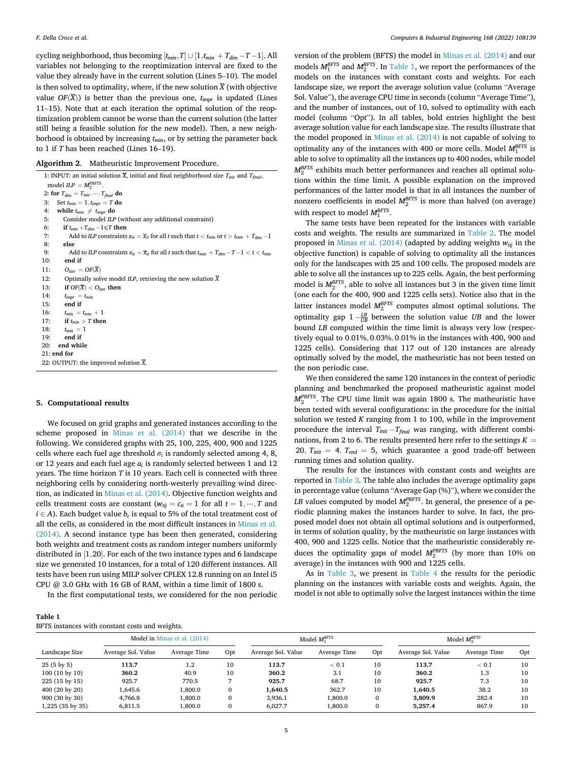cycling neighborhood, thus becoming  $[t_{min}, T] \cup [1, t_{min} + T_{dim} - T - 1]$ . All variables not belonging to the reoptimization interval are fixed to the value they already have in the current solution (Lines 5–10). The model is then solved to optimality, where, if the new solution  $\overline{X}$  (with objective value  $OF(\overline{X})$ ) is better than the previous one,  $t_{impr}$  is updated (Lines 11–15). Note that at each iteration the optimal solution of the reoptimization problem cannot be worse than the current solution (the latter still being a feasible solution for the new model). Then, a new neighborhood is obtained by increasing  $t_{min}$ , or by setting the parameter back to 1 if *T* has been reached (Lines 16–19).

**Algorithm 2**. Matheuristic Improvement Procedure.

| 1: INPUT: an initial solution $\overline{X}$ , initial and final neighborhood size $T_{init}$ and $T_{final}$ ,            |
|----------------------------------------------------------------------------------------------------------------------------|
| model $ILP = M_2^{PBFTS}$ .                                                                                                |
| 2: for $T_{dim} = T_{init}, \dots, T_{final}$ do                                                                           |
| Set $t_{min} = 1$ , $t_{impr} = T$ do<br>3:                                                                                |
| while $t_{min} \neq t_{impr}$ do<br>4:                                                                                     |
| 5:<br>Consider model ILP (without any additional constraint)                                                               |
| 6:<br>if $t_{min} + T_{dim} - 1 \leq T$ then                                                                               |
| Add to ILP constraints $x_{ti} = \overline{x}_{ti}$ for all t such that $t < t_{min}$ or $t > t_{min} + T_{dim} - 1$<br>7: |
| 8:<br>else                                                                                                                 |
| Add to ILP constraints $x_{ti} = \overline{x}_{ti}$ for all t such that $t_{min} + T_{dim} - T - 1 < t < t_{min}$<br>9:    |
| end if<br>10:                                                                                                              |
| $O_{last} = OF(X)$<br>11:                                                                                                  |
| 12:<br>Optimally solve model $ILP$ , retrieving the new solution $X$                                                       |
| if $OF(X) < Olast$ then<br>13:                                                                                             |
| 14:<br>$t_{impr} = t_{min}$                                                                                                |
| end if<br>15:                                                                                                              |
| 16:<br>$t_{\min} = t_{\min} + 1$                                                                                           |
| if $t_{min} > T$ then<br>17:                                                                                               |
| 18:<br>$t_{min} = 1$                                                                                                       |
| end if<br>19:                                                                                                              |
| 20:<br>end while                                                                                                           |
| $21:$ end for                                                                                                              |
| 22: OUTPUT: the improved solution X.                                                                                       |

#### **5. Computational results**

We focused on grid graphs and generated instances according to the scheme proposed in Minas et al. (2014) that we describe in the following. We considered graphs with 25, 100, 225, 400, 900 and 1225 cells where each fuel age threshold  $\sigma_i$  is randomly selected among 4, 8, or 12 years and each fuel age *ai* is randomly selected between 1 and 12 years. The time horizon *T* is 10 years. Each cell is connected with three neighboring cells by considering north-westerly prevailing wind direction, as indicated in Minas et al. (2014). Objective function weights and cells treatment costs are constant ( $w_{tij} = c_{ti} = 1$  for all  $t = 1, \dots, T$  and  $i \in A$ ). Each budget value  $b_t$  is equal to 5% of the total treatment cost of all the cells, as considered in the most difficult instances in Minas et al. (2014). A second instance type has been then generated, considering both weights and treatment costs as random integer numbers uniformly distributed in [1*,*20]. For each of the two instance types and 6 landscape size we generated 10 instances, for a total of 120 different instances. All tests have been run using MILP solver CPLEX 12.8 running on an Intel i5 CPU @ 3.0 GHz with 16 GB of RAM, within a time limit of 1800 s.

In the first computational tests, we considered for the non periodic

| BFTS instances with constant costs and weights. |  |  |
|-------------------------------------------------|--|--|
|-------------------------------------------------|--|--|

version of the problem (BFTS) the model in Minas et al. (2014) and our models  $M_1^{BFTS}$  and  $M_2^{BFTS}$ . In Table 1, we report the performances of the models on the instances with constant costs and weights. For each landscape size, we report the average solution value (column "Average Sol. Value"), the average CPU time in seconds (column "Average Time"), and the number of instances, out of 10, solved to optimality with each model (column "Opt"). In all tables, bold entries highlight the best average solution value for each landscape size. The results illustrate that the model proposed in Minas et al. (2014) is not capable of solving to optimality any of the instances with 400 or more cells. Model  $M_1^{BFTS}$  is able to solve to optimality all the instances up to 400 nodes, while model  $M_2^{BFTS}$  exhibits much better performances and reaches all optimal solutions within the time limit. A possible explanation on the improved performances of the latter model is that in all instances the number of nonzero coefficients in model  $M_2^{BFTS}$  is more than halved (on average) with respect to model  $M_1^{BFTS}$ .

The same tests have been repeated for the instances with variable costs and weights. The results are summarized in Table 2. The model proposed in Minas et al.  $(2014)$  (adapted by adding weights  $w_{\text{tri}}$  in the objective function) is capable of solving to optimality all the instances only for the landscapes with 25 and 100 cells. The proposed models are able to solve all the instances up to 225 cells. Again, the best performing model is  $M_2^{BFTS}$ , able to solve all instances but 3 in the given time limit (one each for the 400, 900 and 1225 cells sets). Notice also that in the latter instances model  $M_2^{BFTS}$  computes almost optimal solutions. The optimality gap 1 −  $\frac{LB}{UB}$  between the solution value *UB* and the lower bound *LB* computed within the time limit is always very low (respectively equal to 0*.*01%*,* 0*.*03%*,* 0*.*01% in the instances with 400, 900 and 1225 cells). Considering that 117 out of 120 instances are already optimally solved by the model, the matheuristic has not been tested on the non periodic case.

We then considered the same 120 instances in the context of periodic planning and benchmarked the proposed matheuristic against model  $M_2^{PBFTS}$ . The CPU time limit was again 1800 s. The matheuristic have been tested with several configurations: in the procedure for the initial solution we tested *K* ranging from 1 to 100, while in the improvement procedure the interval  $T_{init} - T_{final}$  was ranging, with different combinations, from 2 to 6. The results presented here refer to the settings  $K =$ 20,  $T_{init} = 4$ ,  $T_{end} = 5$ , which guarantee a good trade-off between running times and solution quality.

The results for the instances with constant costs and weights are reported in Table 3. The table also includes the average optimality gaps in percentage value (column "Average Gap (%)"), where we consider the *LB* values computed by model  $M_2^{PBFTS}$ . In general, the presence of a periodic planning makes the instances harder to solve. In fact, the proposed model does not obtain all optimal solutions and is outperformed, in terms of solution quality, by the matheuristic on large instances with 400, 900 and 1225 cells. Notice that the matheuristic considerably reduces the optimality gaps of model  $M_2^{PBFTS}$  (by more than 10% on average) in the instances with 900 and 1225 cells.

As in Table 3, we present in Table 4 the results for the periodic planning on the instances with variable costs and weights. Again, the model is not able to optimally solve the largest instances within the time

| Model in Minas et al. (2014) |                    |              |     |                    | Model $M_1^{BFTS}$ | Model $M_2^{BFTS}$ |                    |              |     |
|------------------------------|--------------------|--------------|-----|--------------------|--------------------|--------------------|--------------------|--------------|-----|
| Landscape Size               | Average Sol. Value | Average Time | Opt | Average Sol. Value | Average Time       | Opt                | Average Sol. Value | Average Time | Opt |
| $25(5 \text{ by } 5)$        | 113.7              | $1.2\,$      | 10  | 113.7              | < 0.1              | 10                 | 113.7              | < 0.1        | 10  |
| $100(10 \text{ by } 10)$     | 360.2              | 40.9         | 10  | 360.2              | 3.1                | 10                 | 360.2              | 1.3          | 10  |
| $225(15 \text{ by } 15)$     | 925.7              | 770.5        |     | 925.7              | 68.7               | 10                 | 925.7              | 7.3          | 10  |
| 400 (20 by 20)               | .645.6             | 1.800.0      | 0   | 1.640.5            | 362.7              | 10                 | 1.640.5            | 38.2         | 10  |
| 900 (30 by 30)               | 4,766.8            | 1.800.0      | 0   | 3.936.1            | 1.800.0            | 0                  | 3.809.9            | 282.4        | 10  |
| 1,225 (35 by 35)             | 6.811.5            | 1.800.0      | 0   | 6.027.7            | 1.800.0            | 0                  | 5.257.4            | 867.9        | 10  |
|                              |                    |              |     |                    |                    |                    |                    |              |     |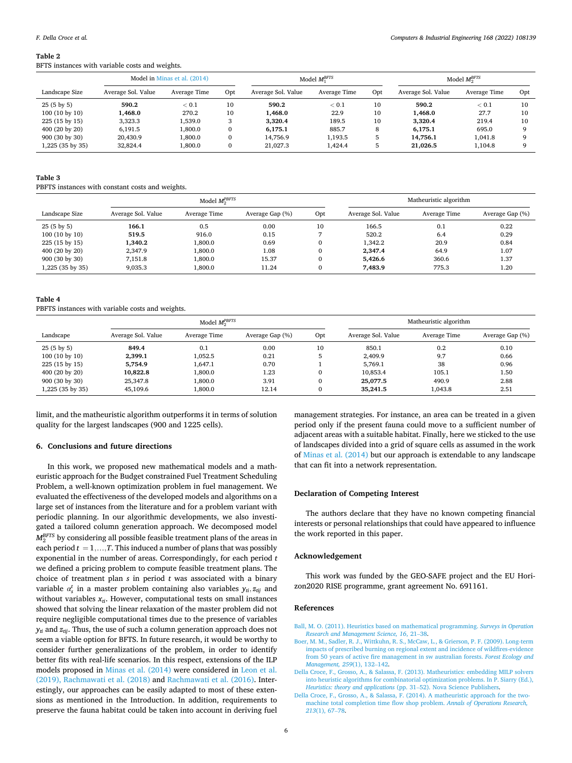#### **Table 2**

BFTS instances with variable costs and weights.

| Model in Minas et al. (2014) |                    |              |     |                    | Model $M_1^{BFTS}$ | Model $M_2^{BFTS}$ |                    |              |     |
|------------------------------|--------------------|--------------|-----|--------------------|--------------------|--------------------|--------------------|--------------|-----|
| Landscape Size               | Average Sol. Value | Average Time | Opt | Average Sol. Value | Average Time       | Opt                | Average Sol. Value | Average Time | Opt |
| $25(5 \text{ by } 5)$        | 590.2              | < 0.1        | 10  | 590.2              | < 0.1              | 10                 | 590.2              | < 0.1        | 10  |
| $100(10 \text{ by } 10)$     | .468.0             | 270.2        | 10  | 1.468.0            | 22.9               | 10                 | 1.468.0            | 27.7         | 10  |
| $225(15 \text{ by } 15)$     | 3,323.3            | 1,539.0      |     | 3.320.4            | 189.5              | 10                 | 3.320.4            | 219.4        | 10  |
| 400 (20 by 20)               | 6.191.5            | 1.800.0      | 0   | 6.175.1            | 885.7              | 8                  | 6.175.1            | 695.0        |     |
| 900 (30 by 30)               | 20.430.9           | 1.800.0      | 0   | 14.756.9           | 1.193.5            |                    | 14.756.1           | 1.041.8      |     |
| 1,225 (35 by 35)             | 32,824.4           | 1.800.0      |     | 21.027.3           | 1,424.4            |                    | 21.026.5           | 1.104.8      |     |

# **Table 3**

#### PBFTS instances with constant costs and weights.

|                          | Model $M_2^{PBFTS}$ |              |                 |              |                    | Matheuristic algorithm |                 |  |  |
|--------------------------|---------------------|--------------|-----------------|--------------|--------------------|------------------------|-----------------|--|--|
| Landscape Size           | Average Sol. Value  | Average Time | Average Gap (%) | Opt          | Average Sol. Value | Average Time           | Average Gap (%) |  |  |
| $25(5 \text{ by } 5)$    | 166.1               | 0.5          | 0.00            | 10           | 166.5              | 0.1                    | 0.22            |  |  |
| $100(10 \text{ by } 10)$ | 519.5               | 916.0        | 0.15            |              | 520.2              | 6.4                    | 0.29            |  |  |
| 225 (15 by 15)           | 1,340.2             | 1,800.0      | 0.69            | $\mathbf{0}$ | 1.342.2            | 20.9                   | 0.84            |  |  |
| 400 (20 by 20)           | 2,347.9             | 1,800.0      | 1.08            | $\mathbf{0}$ | 2.347.4            | 64.9                   | 1.07            |  |  |
| 900 (30 by 30)           | 7,151.8             | 1,800.0      | 15.37           | 0            | 5.426.6            | 360.6                  | 1.37            |  |  |
| 1,225 (35 by 35)         | 9,035.3             | 1,800.0      | 11.24           | $\mathbf{0}$ | 7.483.9            | 775.3                  | 1.20            |  |  |

#### **Table 4**

PBFTS instances with variable costs and weights.

|                          | Model $M_2^{PBFTS}$ |              |                 |              |                    | Matheuristic algorithm |                 |  |  |
|--------------------------|---------------------|--------------|-----------------|--------------|--------------------|------------------------|-----------------|--|--|
| Landscape                | Average Sol. Value  | Average Time | Average Gap (%) | Opt          | Average Sol. Value | Average Time           | Average Gap (%) |  |  |
| $25(5 \text{ by } 5)$    | 849.4               | 0.1          | 0.00            | 10           | 850.1              | 0.2                    | 0.10            |  |  |
| $100(10 \text{ by } 10)$ | 2.399.1             | 1.052.5      | 0.21            | ь            | 2.409.9            | 9.7                    | 0.66            |  |  |
| 225 (15 by 15)           | 5.754.9             | 1.647.1      | 0.70            |              | 5.769.1            | 38                     | 0.96            |  |  |
| 400 (20 by 20)           | 10.822.8            | 1,800.0      | 1.23            | 0            | 10.853.4           | 105.1                  | 1.50            |  |  |
| 900 (30 by 30)           | 25,347.8            | 1,800.0      | 3.91            | $\mathbf{0}$ | 25,077.5           | 490.9                  | 2.88            |  |  |
| 1,225 (35 by 35)         | 45,109.6            | 1,800.0      | 12.14           | $\mathbf{0}$ | 35,241.5           | 1.043.8                | 2.51            |  |  |

limit, and the matheuristic algorithm outperforms it in terms of solution quality for the largest landscapes (900 and 1225 cells).

# **6. Conclusions and future directions**

In this work, we proposed new mathematical models and a matheuristic approach for the Budget constrained Fuel Treatment Scheduling Problem, a well-known optimization problem in fuel management. We evaluated the effectiveness of the developed models and algorithms on a large set of instances from the literature and for a problem variant with periodic planning. In our algorithmic developments, we also investigated a tailored column generation approach. We decomposed model  $M_{2}^{\rm BFTS}$  by considering all possible feasible treatment plans of the areas in each period  $t = 1, \ldots, T$ . This induced a number of plans that was possibly exponential in the number of areas. Correspondingly, for each period *t*  we defined a pricing problem to compute feasible treatment plans. The choice of treatment plan *s* in period *t* was associated with a binary variable  $\alpha_s^t$  in a master problem containing also variables  $y_{ti}, z_{tij}$  and without variables  $x_{ti}$ . However, computational tests on small instances showed that solving the linear relaxation of the master problem did not require negligible computational times due to the presence of variables  $y_t$  and  $z_{tij}$ . Thus, the use of such a column generation approach does not seem a viable option for BFTS. In future research, it would be worthy to consider further generalizations of the problem, in order to identify better fits with real-life scenarios. In this respect, extensions of the ILP models proposed in Minas et al. (2014) were considered in Leon et al. (2019), Rachmawati et al. (2018) and Rachmawati et al. (2016). Interestingly, our approaches can be easily adapted to most of these extensions as mentioned in the Introduction. In addition, requirements to preserve the fauna habitat could be taken into account in deriving fuel

management strategies. For instance, an area can be treated in a given period only if the present fauna could move to a sufficient number of adjacent areas with a suitable habitat. Finally, here we sticked to the use of landscapes divided into a grid of square cells as assumed in the work of Minas et al. (2014) but our approach is extendable to any landscape that can fit into a network representation.

# **Declaration of Competing Interest**

The authors declare that they have no known competing financial interests or personal relationships that could have appeared to influence the work reported in this paper.

# **Acknowledgement**

This work was funded by the GEO-SAFE project and the EU Horizon2020 RISE programme, grant agreement No. 691161.

### **References**

- [Ball, M. O. \(2011\). Heuristics based on mathematical programming.](http://refhub.elsevier.com/S0360-8352(22)00209-1/h0005) *Surveys in Operation [Research and Management Science, 16](http://refhub.elsevier.com/S0360-8352(22)00209-1/h0005)*, 21–38.
- [Boer, M. M., Sadler, R. J., Wittkuhn, R. S., McCaw, L., & Grierson, P. F. \(2009\). Long-term](http://refhub.elsevier.com/S0360-8352(22)00209-1/h0010)  [impacts of prescribed burning on regional extent and incidence of wildfires-evidence](http://refhub.elsevier.com/S0360-8352(22)00209-1/h0010)  [from 50 years of active fire management in sw australian forests.](http://refhub.elsevier.com/S0360-8352(22)00209-1/h0010) *Forest Ecology and [Management, 259](http://refhub.elsevier.com/S0360-8352(22)00209-1/h0010)*(1), 132–142.
- [Della Croce, F., Grosso, A., & Salassa, F. \(2013\). Matheuristics: embedding MILP solvers](http://refhub.elsevier.com/S0360-8352(22)00209-1/h0015)  [into heuristic algorithms for combinatorial optimization problems. In P. Siarry \(Ed.\),](http://refhub.elsevier.com/S0360-8352(22)00209-1/h0015)  *[Heuristics: theory and applications](http://refhub.elsevier.com/S0360-8352(22)00209-1/h0015)* (pp. 31–52). Nova Science Publishers.
- [Della Croce, F., Grosso, A., & Salassa, F. \(2014\). A matheuristic approach for the two](http://refhub.elsevier.com/S0360-8352(22)00209-1/h0020)[machine total completion time flow shop problem.](http://refhub.elsevier.com/S0360-8352(22)00209-1/h0020) *Annals of Operations Research, 213*[\(1\), 67](http://refhub.elsevier.com/S0360-8352(22)00209-1/h0020)–78.